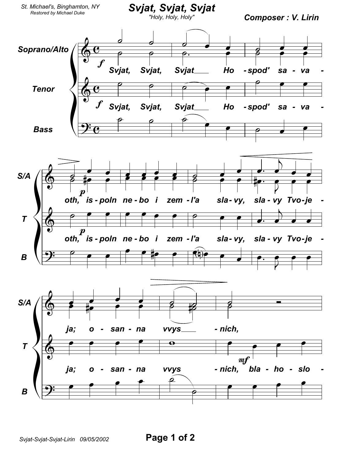